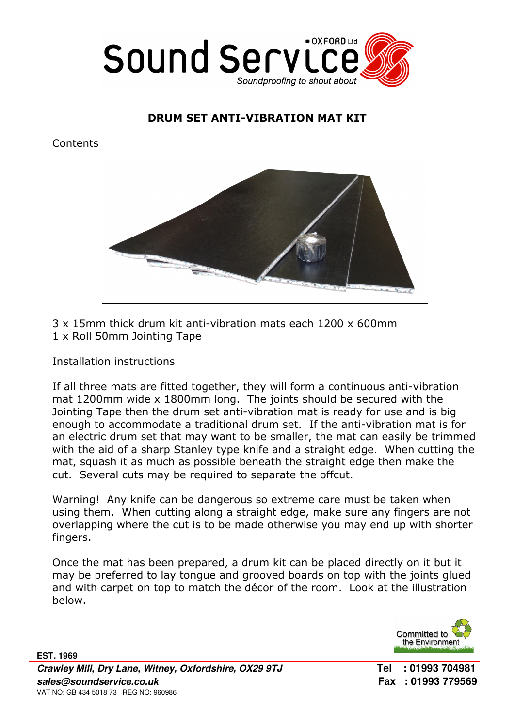

## DRUM SET ANTI-VIBRATION MAT KIT

**Contents** 



3 x 15mm thick drum kit anti-vibration mats each 1200 x 600mm 1 x Roll 50mm Jointing Tape

## Installation instructions

If all three mats are fitted together, they will form a continuous anti-vibration mat 1200mm wide x 1800mm long. The joints should be secured with the Jointing Tape then the drum set anti-vibration mat is ready for use and is big enough to accommodate a traditional drum set. If the anti-vibration mat is for an electric drum set that may want to be smaller, the mat can easily be trimmed with the aid of a sharp Stanley type knife and a straight edge. When cutting the mat, squash it as much as possible beneath the straight edge then make the cut. Several cuts may be required to separate the offcut.

Warning! Any knife can be dangerous so extreme care must be taken when using them. When cutting along a straight edge, make sure any fingers are not overlapping where the cut is to be made otherwise you may end up with shorter fingers.

Once the mat has been prepared, a drum kit can be placed directly on it but it may be preferred to lay tongue and grooved boards on top with the joints glued and with carpet on top to match the décor of the room. Look at the illustration below.